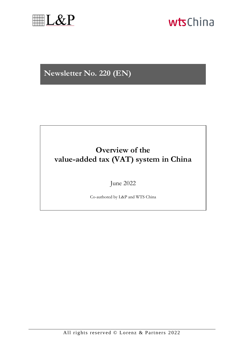

# wtsChina

## **Newsletter No. 220 (EN)**

### **Overview of the value-added tax (VAT) system in China**

### June 2022

Co-authored by L&P and WTS China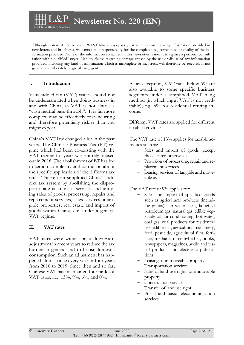**Newsletter No. 220 (EN)**

Although Lorenz & Partners and WTS China always pays great attention on updating information provided in newsletters and brochures, we cannot take responsibility for the completeness, correctness or quality of the information provided. None of the information contained in this newsletter is meant to replace a personal consultation with a qualified lawyer. Liability claims regarding damage caused by the use or disuse of any information provided, including any kind of information which is incomplete or incorrect, will therefore be rejected, if not generated deliberately or grossly negligent.

#### **I. Introduction**

Value-added tax (VAT) issues should not be underestimated when doing business in and with China, as VAT is not always a "cash neutral pass-through". It is far more complex, may be effectively cost-incurring and therefore potentially riskier than you might expect.

China's VAT law changed a lot in the past years. The Chinese Business Tax (BT) regime which had been co-existing with the VAT regime for years was entirely phased out in 2016. The abolishment of BT has led to certain complexity and confusion about the specific application of the different tax rates. The reform simplified China's indirect tax system by abolishing the disproportionate taxation of services and unifying sales of goods, processing, repairs and replacement services, sales services, intangible properties, real estate and import of goods within China, etc. under a general VAT regime.

#### **II. VAT rates**

VAT rates were witnessing a downward adjustment in recent years to reduce the tax burden in general and to boost domestic consumption. Such an adjustment has happened almost once every year in four years from 2016 to 2019. Since then and so far, Chinese VAT has maintained four ranks of VAT rates, i.e. 13%, 9%, 6%, and 0%.

As an exception, VAT rates below 6% are also available to some specific business segments under a simplified VAT filing method (in which input VAT is not creditable), e.g. 5% for residential renting income.

Different VAT rates are applied for different taxable activities:

The VAT rate of 13% applies for taxable activities such as:

- Sales and import of goods (except those stated otherwise)
- Provision of processing, repair and replacement services
- Leasing services of tangible and moveable assets

The VAT rate of 9% applies for:

- Sales and import of specified goods such as agricultural products (including grains), tab water, heat, liquefied petroleum gas, natural gas, edible vegetable oil, air conditioning, hot water, coal gas, coal products for residential use, edible salt, agricultural machinery, feed, pesticide, agricultural film, fertilizer, methane, dimethyl ether, books, newspapers, magazines, audio and visual products and electronic publications
- Leasing of immoveable property
- Transportation services
- Sales of land use rights or immovable property
- Construction services
- Transfer of land use right
- Postal and basic telecommunication services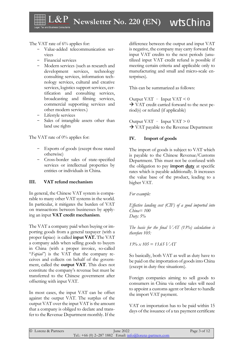wtsChina **Newsletter No. 220 (EN)** 

The VAT rate of 6% applies for:

- Value-added telecommunication services
- Financial services
- Modern services (such as research and development services, technology consulting services, information technology services, cultural and creative services, logistics support services, certification and consulting services, broadcasting and filming services, commercial supporting services and other modern services.)
- Lifestyle services
- Sales of intangible assets other than land use rights

The VAT rate of 0% applies for:

- Exports of goods (except those stated otherwise)
- Cross-border sales of state-specified services or intellectual properties by entities or individuals in China.

#### **III. VAT refund mechanism**

In general, the Chinese VAT system is comparable to many other VAT systems in the world. In particular, it mitigates the burden of VAT on transactions between businesses by applying an input **VAT credit mechanism**.

The VAT a company paid when buying or importing goods from a general taxpayer (with a proper fapiao) is called **input VAT.** The VAT a company adds when selling goods to buyers in China (with a proper invoice, so-called "*Fapiao*") is the VAT that the company receives and collects on behalf of the government, called the **output VAT**. This does not constitute the company's revenue but must be transferred to the Chinese government after offsetting with input VAT.

In most cases, the input VAT can be offset against the output VAT. The surplus of the output VAT over the input VAT is the amount that a company is obliged to declare and transfer to the Revenue Department monthly. If the difference between the output and input VAT is negative, the company may carry forward the input VAT credits to the next periods (unutilized input VAT credit refund is possible if meeting certain criteria and applicable only to manufacturing and small and micro-scale enterprises).

This can be summarized as follows:

Output VAT – Input VAT  $\leq 0$  $\rightarrow$  VAT credit carried forward to the next period(s) or refund (if applicable)

Output VAT – Input VAT  $> 0$  $\rightarrow$  VAT payable to the Revenue Department

#### **IV. Import of goods**

The import of goods is subject to VAT which is payable to the Chinese Revenue/Customs Department. This must not be confused with the obligation to pay **import duty** at specific rates which is payable additionally. It increases the value base of the product, leading to a higher VAT.

*For example:*

*Effective landing cost (CIF) of a good imported into China= 100 Duty: 5%*

*The basis for the final VAT (13%) calculation is therefore 105:* 

*13% x 105 = 13.65 VAT*

So basically, both VAT as well as duty have to be paid on the importation of goods into China (except in duty-free situations).

Foreign companies aiming to sell goods to consumers in China via online sales will need to appoint a customs agent or broker to handle the import VAT payment.

VAT on importation has to be paid within 15 days of the issuance of a tax payment certificate

| © Lorenz & Partners | <b>June 2022</b>                                                                         | Page 3 of 12 |
|---------------------|------------------------------------------------------------------------------------------|--------------|
|                     | Tel.: $+66$ (0) 2–287 1882 Email: $\frac{in6}{\textcirc}$ Email: $\frac{in6}{\textcirc}$ |              |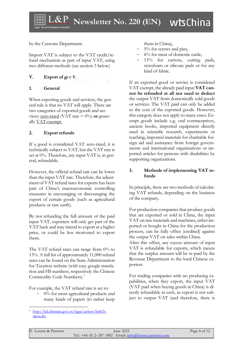by the Customs Department.

Import VAT is subject to the VAT credit/refund mechanism as part of input VAT, using two different methods (see section 3 below)

#### **V.** Export of gcc.13

#### **1. General**

When exporting goods and services, the general rule is that no VAT will apply. There are two categories of exported goods and services: <u>zero-rated</u> (VAT rate  $= 0\%$ ) or generally VAT-exempt.

#### **2. Export refunds**

If a good is considered VAT zero-rated, it is technically subject to VAT, but the VAT rate is set at  $0\%$ . Therefore, any input VAT is, in general, refundable.

However, the official refund rate can be lower than the input VAT rate. Therefore, the adjustment of VAT refund rates for exports has been part of China's macroeconomic controlling measures in encouraging or discouraging the export of certain goods (such as agricultural products or rare earth).

By not refunding the full amount of the paid input VAT, exporters will only get part of the VAT back and may intend to export at a higher price, or could be less motivated to export them.

The VAT refund rates can range from  $0\%$  to 13%. A full list of approximately 11,000 refund rates can be found on the State Administration for Taxation website (with easy google translation and HS numbers, respectively the Chinese Commodity Code Numbers). 1

For example, the VAT refund rate is set to:

0% for most agricultural products and many kinds of papers (to rather keep

them in China),

- 5% for screws and pins,
- $6\%$  for meat of domestic cattle,
- 13% for cartons, cutting pads, styrofoam or silicone pads or for any kind of fabric.

If an exported good or service is considered VAT exempt, the already paid input **VAT cannot be refunded at all nor used to deduct** the output VAT from domestically sold goods or services. The VAT paid can only be added to the cost of the exported goods. However, this category does not apply to many cases. Exempt goods include e.g. oral contraceptives, ancient books, imported equipment directly used in scientific research, experiments or teaching, imported materials for charitable foreign aid and assistance from foreign governments and international organizations or imported articles for persons with disabilities by supporting organizations.

#### **3. Methods of implementing VAT refunds**

In principle, there are two methods of calculating VAT refunds, depending on the business of the company.

For production companies that produce goods that are exported or sold in China, the input VAT on raw materials and machines, either imported or bought in China for the production process, can be fully offset (credited) against the output VAT on sales within China.

After this offset, any excess amount of input VAT is refundable for exports, which means that the surplus amount will be re-paid by the Revenue Department to the local Chinese exporters.

For trading companies with no producing capabilities, when they export, the input VAT (VAT paid when buying goods in China) is directly refundable in cash, as export is not subject to output VAT (and therefore, there is

[http://hd.chinatax.gov.cn/fagui/action/InitCh](http://hd.chinatax.gov.cn/fagui/action/InitChukou.do)[ukou.do.](http://hd.chinatax.gov.cn/fagui/action/InitChukou.do)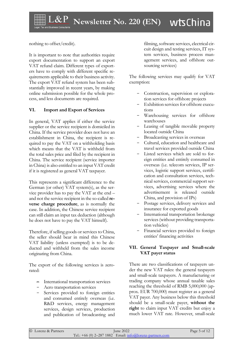nothing to offset/credit).

It is important to note that authorities require export documentation to support an export VAT refund claim. Different types of exporters have to comply with different specific requirements applicable to their business activity. The export VAT refund system has been substantially improved in recent years, by making online submission possible for the whole process, and less documents are required.

#### **VI. Import and Export of Services**

In general, VAT applies if either the service supplier or the service recipient is domiciled in China. If the service provider does not have an establishment in China, the recipient is required to pay the VAT on a withholding basis which means that the VAT is withheld from the total sales price and filed by the recipient in China. The service recipient (service importer in China) is also entitled to an input VAT credit if it is registered as general VAT taxpayer.

This represents a significant difference to the German (or other) VAT system(s), as the service provider has to pay the VAT at the end – and not the service recipient in the so-called **reverse charge procedure**, as is normally the case. In addition, the Chinese service recipient can still claim an input tax deduction (although he does not have to pay the VAT himself).

Therefore, if selling goods or services to China, the seller should bear in mind this Chinese VAT liability (unless exempted) is to be deducted and withheld from the sales income originating from China.

The export of the following services is zerorated:

- International transportation services
- Aero transportation services
- Services provided to foreign entities and consumed entirely overseas (i.e. R&D services, energy management services, design services, production and publication of broadcasting and

filming, software services, electrical circuit design and testing services, IT system services, business process management services, and offshore outsourcing services)

The following services may qualify for VAT exemption:

- Construction, supervision or exploration services for offshore projects
- Exhibition services for offshore executions
- Warehousing services for offshore warehouses
- Leasing of tangible movable property located outside China
- Broadcasting services in overseas
- Cultural, education and healthcare and travel services provided outside China
- Listed services which are sold to foreign entities and entirely consumed in overseas (i.e. telecom services, IP services, logistic support services, certification and consultation services, technical services, commercial support services, advertising services where the advertisement is released outside China, and provision of IPs)
- Postage services, delivery services and insurance for exported goods
- International transportation brokerage services (without providing transportation vehicles)
- Financial services provided to foreign entities' financing activities

#### **VII. General Taxpayer and Small-scale VAT payer status**

There are two classifications of taxpayers under the new VAT rules: the general taxpayers and small-scale taxpayers. A manufacturing or trading company whose annual taxable sales reaching the threshold of RMB 5,000,000 (approx. EUR 700,000) must register as a general VAT payer. Any business below this threshold should be a small-scale payer, **without the right** to claim input VAT credits but enjoy a much lower VAT rate. However, small-scale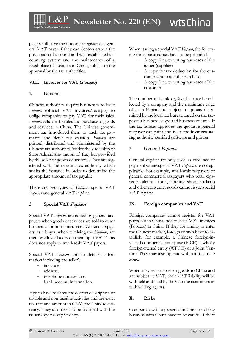payers still have the option to register as a general VAT payer if they can demonstrate a the possession of a sound and well-established accounting system and the maintenance of a fixed place of business in China, subject to the approval by the tax authorities.

#### **VIII. Invoices for VAT (Fapiao)**

#### **1. General**

Chinese authorities require businesses to issue *Fapiaos* (official VAT invoices/receipts) to oblige companies to pay VAT for their sales. *Fapiaos* validate the sales and purchase of goods and services in China. The Chinese government has introduced them to track tax payments and deter tax evasion. *Fapiaos* are printed, distributed and administered by the Chinese tax authorities (under the leadership of State Administhe tration of Tax) but provided by the seller of goods or services. They are registered with the relevant tax authority which audits the issuance in order to determine the appropriate amount of tax payable.

There are two types of *Fapiaos*: special VAT *Fapiaos* and general VAT *Fapiaos*.

#### **2. Special VAT Fapiaos**

Special VAT *Fapiaos* are issued by general taxpayers when goods or services are sold to other businesses or non-consumers. General taxpayers, as a buyer, when receiving the *Fapiaos*, are thereby allowed to credit their input VAT. This does not apply to small-scale VAT payers.

Special VAT *Fapiaos* contain detailed information including the seller's

- tax code,
- address,
- telephone number and
- bank account information.

*Fapiaos* have to show the correct description of taxable and non-taxable activities and the exact tax rate and amount in CNY, the Chinese currency. They also need to be stamped with the issuer's special *Fapiao* chop.

When issuing a special VAT *Fapiao*, the following three basic copies have to be provided:

- A copy for accounting purposes of the issuer (supplier)
- A copy for tax deduction for the customer who made the purchase
- A copy for accounting purposes of the customer

The number of blank *Fapiaos* that may be collected by a company and the maximum value of each Fapiao are subject to quotas determined by the local tax bureau based on the taxpayer's business scope and business volume. If the tax bureau approves the quotas, a general taxpayer can print and issue the **invoices using** authority-certified software and printer.

#### **3. General Fapiaos**

General *Fapiaos* are only used as evidence of payment where special VAT *Fapiaos* are not applicable. For example, small-scale taxpayers or general commercial taxpayers who retail cigarettes, alcohol, food, clothing, shoes, makeup and other consumer goods cannot issue special VAT *Fapiaos*.

#### **IX. Foreign companies and VAT**

Foreign companies cannot register for VAT purposes in China, nor to issue VAT invoices (Fapiaos) in China. If they are aiming to enter the Chinese market, foreign entities have to establish, for example, a Chinese foreign-invested commercial enterprise (FICE), a wholly foreign-owned entity (WFOE) or a Joint Venture. They may also operate within a free trade zone.

When they sell services or goods to China and are subject to VAT, their VAT liability will be withheld and filed by the Chinese customers or withholding agents.

#### **X. Risks**

Companies with a presence in China or doing business with China have to be careful if there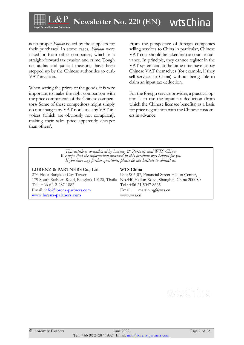

is no proper *Fapiao* issued by the suppliers for their purchases. In some cases, *Fapiaos* were faked or from other companies, which is a straight-forward tax evasion and crime. Tough tax audits and judicial measures have been stepped up by the Chinese authorities to curb VAT invasion.

When setting the prices of the goods, it is very important to make the right comparison with the price components of the Chinese competitors. Some of these competitors might simply do not charge any VAT nor issue any VAT invoices (which are obviously not compliant), making their sales price apparently cheaper than others'.

From the perspective of foreign companies selling services to China in particular, Chinese VAT cost should be taken into account in advance. In principle, they cannot register in the VAT system and at the same time have to pay Chinese VAT themselves (for example, if they sell services to China) without being able to claim an input tax deduction.

For the foreign service provider, a practical option is to use the input tax deduction (from which the Chinese licensee benefits) as a basis for price negotiation with the Chinese customers in advance.

*This article is co-authored by Lorenz & Partners and WTS China. We hope that the information provided in this brochure was helpful for you. If you have any further questions, please do not hesitate to contact us.*

| LORENZ & PARTNERS Co., Ltd.                                                              | WTS China                                    |
|------------------------------------------------------------------------------------------|----------------------------------------------|
| 27 <sup>th</sup> Floor Bangkok City Tower                                                | Unit 906-07, Financial Street Hailun Center, |
| 179 South Sathorn Road, Bangkok 10120, Thaila No.440 Hailun Road, Shanghai, China 200080 |                                              |
| Tel.: $+66$ (0) 2-287 1882                                                               | Tel.: +86 21 5047 8665                       |
| Email: info@lorenz-partners.com                                                          | Email: $\text{martin.ng@wts.cn}$             |
| www.lorenz-partners.com                                                                  | www.wts.cn                                   |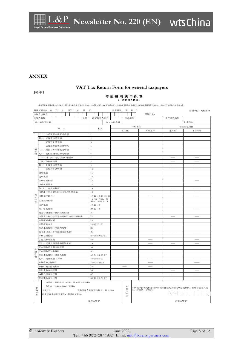#### **ANNEX**

### **VAT Tax Return Form for general taxpayers**

#### 附件1

#### 增 值 税 纳 税 申 报 表 (一般纳税人适用)

根据国家税收法律法规及增值税相关规定制定本表。纳税人不论有无销售额,均应按税务机关核定的纳税期限填写本表,并向当地税务机关申报。

|         | 税款所属时间: 自         | 年                    | 月                   | 日至 | 年           | 月  |                             | 日                |                          |                     | 填表日期: |      | 年 月 日  |                                                                                                                                                                                                                                                                                                                                                                                                                                                                            |  |                                    |  |                          | 金额单位: 元至角分        |
|---------|-------------------|----------------------|---------------------|----|-------------|----|-----------------------------|------------------|--------------------------|---------------------|-------|------|--------|----------------------------------------------------------------------------------------------------------------------------------------------------------------------------------------------------------------------------------------------------------------------------------------------------------------------------------------------------------------------------------------------------------------------------------------------------------------------------|--|------------------------------------|--|--------------------------|-------------------|
|         | 纳税人识别号            |                      |                     |    |             |    |                             |                  |                          |                     |       |      |        |                                                                                                                                                                                                                                                                                                                                                                                                                                                                            |  | 所属行业:                              |  |                          |                   |
|         | (公章)<br>纳税人名称     |                      |                     |    |             |    |                             | 法定代表人姓名          |                          |                     |       | 注册地址 |        |                                                                                                                                                                                                                                                                                                                                                                                                                                                                            |  | 生产经营地址                             |  |                          |                   |
| 开户银行及账号 |                   |                      |                     |    |             |    |                             |                  | 登记注册类型                   |                     |       |      |        |                                                                                                                                                                                                                                                                                                                                                                                                                                                                            |  |                                    |  |                          |                   |
|         |                   |                      |                     |    |             |    |                             |                  |                          |                     |       | 一般项目 |        | 电话号码<br>即征即退项目                                                                                                                                                                                                                                                                                                                                                                                                                                                             |  |                                    |  |                          |                   |
| 项目      |                   |                      |                     |    |             | 栏次 |                             |                  |                          | 本月数                 |       |      | 本年累计   | 本月数                                                                                                                                                                                                                                                                                                                                                                                                                                                                        |  | 本年累计                               |  |                          |                   |
|         |                   | (一) 按适用税率计税销售额       |                     |    |             |    |                             |                  |                          |                     |       |      |        |                                                                                                                                                                                                                                                                                                                                                                                                                                                                            |  |                                    |  |                          |                   |
|         |                   | 其中: 应税货物销售额          |                     |    |             |    |                             | 2                |                          |                     |       |      |        |                                                                                                                                                                                                                                                                                                                                                                                                                                                                            |  |                                    |  |                          |                   |
|         |                   | 应税劳务销售额              |                     |    |             |    |                             | 3                |                          |                     |       |      |        |                                                                                                                                                                                                                                                                                                                                                                                                                                                                            |  |                                    |  |                          |                   |
|         |                   |                      | 纳税检查调整的销售额          |    |             |    |                             |                  |                          |                     |       |      |        |                                                                                                                                                                                                                                                                                                                                                                                                                                                                            |  |                                    |  |                          |                   |
| 销       |                   |                      | (二) 按简易办法计税销售额      |    |             |    | 5                           |                  |                          |                     |       |      |        |                                                                                                                                                                                                                                                                                                                                                                                                                                                                            |  |                                    |  |                          |                   |
| 售<br>额  |                   | 其中: 纳税检查调整的销售额       |                     |    |             |    | $\,$ 6                      |                  |                          |                     |       |      |        |                                                                                                                                                                                                                                                                                                                                                                                                                                                                            |  |                                    |  |                          |                   |
|         |                   | (三) 免、抵、退办法出口销售额     |                     |    |             |    |                             | $\overline{7}$   |                          |                     |       |      |        |                                                                                                                                                                                                                                                                                                                                                                                                                                                                            |  |                                    |  |                          |                   |
|         |                   | (四) 免税销售额            |                     |    |             |    |                             | 8                |                          |                     |       |      |        |                                                                                                                                                                                                                                                                                                                                                                                                                                                                            |  |                                    |  |                          |                   |
|         |                   | 其中: 免税货物销售额          |                     |    |             |    |                             | $\boldsymbol{9}$ |                          |                     |       |      |        |                                                                                                                                                                                                                                                                                                                                                                                                                                                                            |  |                                    |  | $\overline{\phantom{a}}$ |                   |
|         |                   | 免税劳务销售额              |                     |    |             |    |                             | 10               |                          |                     |       |      |        |                                                                                                                                                                                                                                                                                                                                                                                                                                                                            |  |                                    |  |                          |                   |
|         | 销项税额              |                      |                     |    |             |    |                             | 11               |                          |                     |       |      |        |                                                                                                                                                                                                                                                                                                                                                                                                                                                                            |  |                                    |  |                          |                   |
|         | 进项税额              |                      |                     |    |             |    |                             | 12               |                          |                     |       |      |        |                                                                                                                                                                                                                                                                                                                                                                                                                                                                            |  |                                    |  |                          |                   |
|         | 上期留抵税额            |                      |                     |    |             |    |                             | 13               |                          |                     |       |      |        |                                                                                                                                                                                                                                                                                                                                                                                                                                                                            |  |                                    |  |                          | $\frac{1}{2}$     |
|         | 进项税额转出            |                      |                     |    |             |    |                             | $1\,4$           |                          |                     |       |      |        |                                                                                                                                                                                                                                                                                                                                                                                                                                                                            |  |                                    |  |                          |                   |
|         |                   |                      | 免、抵、退应退税额           |    |             |    |                             | 15               |                          |                     |       |      |        |                                                                                                                                                                                                                                                                                                                                                                                                                                                                            |  |                                    |  |                          | $\hspace{0.1mm}$  |
|         | 按适用税率计算的纳税检查应补缴税额 |                      |                     |    |             |    |                             | 16               |                          |                     |       |      |        |                                                                                                                                                                                                                                                                                                                                                                                                                                                                            |  |                                    |  |                          | $\qquad \qquad -$ |
| 税<br>款  | 应抵扣税额合计           |                      |                     |    |             |    |                             |                  |                          | $17=12+13-14-15+16$ |       |      |        |                                                                                                                                                                                                                                                                                                                                                                                                                                                                            |  |                                    |  |                          | $-\!-\!$          |
| 计       | 实际抵扣税额            |                      |                     |    |             |    | 18 (如17<11,则<br>为17, 否则为11) |                  |                          |                     |       |      |        |                                                                                                                                                                                                                                                                                                                                                                                                                                                                            |  |                                    |  |                          |                   |
| 算       | 应纳税额              |                      |                     |    |             |    |                             | $19 = 11 - 18$   |                          |                     |       |      |        |                                                                                                                                                                                                                                                                                                                                                                                                                                                                            |  |                                    |  |                          |                   |
|         | 期末留抵税额            |                      |                     |    |             |    |                             |                  | $20 = 17 - 18$           |                     |       |      |        |                                                                                                                                                                                                                                                                                                                                                                                                                                                                            |  |                                    |  |                          |                   |
|         |                   |                      | 简易计税办法计算的应纳税额       |    |             |    |                             | 21               |                          |                     |       |      |        |                                                                                                                                                                                                                                                                                                                                                                                                                                                                            |  |                                    |  |                          |                   |
|         |                   |                      | 按简易计税办法计算的纳税检查应补缴税额 |    |             |    |                             | 22               |                          |                     |       |      |        |                                                                                                                                                                                                                                                                                                                                                                                                                                                                            |  |                                    |  |                          | $\hspace{0.05cm}$ |
|         | 应纳税额减征额           |                      |                     |    |             |    |                             | 23               |                          |                     |       |      |        |                                                                                                                                                                                                                                                                                                                                                                                                                                                                            |  |                                    |  |                          |                   |
|         | 应纳税额合计            |                      |                     |    |             |    |                             |                  | $24=19+21-23$            |                     |       |      |        |                                                                                                                                                                                                                                                                                                                                                                                                                                                                            |  |                                    |  |                          |                   |
|         | 期初未缴税额(多缴为负数)     |                      |                     |    |             | 25 |                             |                  |                          |                     |       |      |        |                                                                                                                                                                                                                                                                                                                                                                                                                                                                            |  |                                    |  |                          |                   |
|         | 实收出口开具专用缴款书退税额    |                      |                     |    | $\sqrt{26}$ |    |                             |                  |                          |                     |       |      |        | $\frac{1}{2} \left( \frac{1}{2} \right) \left( \frac{1}{2} \right) \left( \frac{1}{2} \right) \left( \frac{1}{2} \right) \left( \frac{1}{2} \right) \left( \frac{1}{2} \right) \left( \frac{1}{2} \right) \left( \frac{1}{2} \right) \left( \frac{1}{2} \right) \left( \frac{1}{2} \right) \left( \frac{1}{2} \right) \left( \frac{1}{2} \right) \left( \frac{1}{2} \right) \left( \frac{1}{2} \right) \left( \frac{1}{2} \right) \left( \frac{1}{2} \right) \left( \frac$ |  | $\qquad \qquad -$                  |  |                          |                   |
|         | 本期已缴税额            |                      |                     |    |             |    |                             |                  | $27 = 28 + 29 + 30 + 31$ |                     |       |      |        |                                                                                                                                                                                                                                                                                                                                                                                                                                                                            |  |                                    |  |                          |                   |
|         | ①分次预缴税额           |                      |                     |    |             |    |                             | 28               |                          |                     |       |      |        |                                                                                                                                                                                                                                                                                                                                                                                                                                                                            |  |                                    |  |                          |                   |
|         |                   |                      | ②出口开具专用缴款书预缴税额      |    |             |    |                             | 29               |                          |                     |       |      |        |                                                                                                                                                                                                                                                                                                                                                                                                                                                                            |  |                                    |  |                          |                   |
|         |                   |                      | ③本期缴纳上期应纳税额         |    |             |    |                             | 30               |                          |                     |       |      |        |                                                                                                                                                                                                                                                                                                                                                                                                                                                                            |  |                                    |  |                          |                   |
| 税<br>款  | ④本期缴纳欠缴税额         |                      |                     |    |             |    |                             | 31               |                          |                     |       |      |        |                                                                                                                                                                                                                                                                                                                                                                                                                                                                            |  |                                    |  |                          |                   |
| 缴<br>纳  |                   |                      | 期末未缴税额(多缴为负数)       |    |             |    |                             |                  | 32=24+25+26-27           |                     |       |      |        |                                                                                                                                                                                                                                                                                                                                                                                                                                                                            |  |                                    |  |                          |                   |
|         | 其中: 欠缴税额(≥0)      |                      |                     |    |             |    |                             |                  | $33=25+26-27$            |                     |       |      |        |                                                                                                                                                                                                                                                                                                                                                                                                                                                                            |  |                                    |  |                          |                   |
|         | 本期应补(退)税额         |                      |                     |    |             |    |                             |                  | $34 = 24 - 28 - 29$      |                     |       |      |        |                                                                                                                                                                                                                                                                                                                                                                                                                                                                            |  |                                    |  |                          |                   |
|         | 即征即退实际退税额         |                      |                     |    |             |    |                             | 35               |                          |                     |       |      |        |                                                                                                                                                                                                                                                                                                                                                                                                                                                                            |  |                                    |  |                          |                   |
|         | 期初未缴查补税额          |                      |                     |    |             |    |                             | 36               |                          |                     |       |      |        |                                                                                                                                                                                                                                                                                                                                                                                                                                                                            |  |                                    |  |                          |                   |
|         | 本期入库查补税额          |                      |                     |    |             |    |                             | 37               |                          |                     |       |      |        |                                                                                                                                                                                                                                                                                                                                                                                                                                                                            |  |                                    |  |                          |                   |
|         | 期末未缴查补税额          |                      |                     |    |             |    | $38=16+22+36-37$            |                  |                          |                     |       |      |        |                                                                                                                                                                                                                                                                                                                                                                                                                                                                            |  |                                    |  |                          |                   |
|         |                   | 如果你已委托代理人申报,请填写下列资料: |                     |    |             |    |                             |                  |                          |                     |       |      |        |                                                                                                                                                                                                                                                                                                                                                                                                                                                                            |  |                                    |  |                          |                   |
| 授       |                   | 为代理一切税务事宜, 现授权       |                     |    |             |    |                             |                  |                          |                     |       |      | 由      |                                                                                                                                                                                                                                                                                                                                                                                                                                                                            |  | 本纳税申报表是根据国家税收法律法规及相关规定填报的, 我确定它是真实 |  |                          |                   |
| 权       | (地址)              |                      |                     |    |             |    |                             |                  |                          | 为本纳税人的代理申报人, 任何与本   |       |      | 报<br>人 |                                                                                                                                                                                                                                                                                                                                                                                                                                                                            |  | 的、可靠的、完整的。                         |  |                          |                   |
| 声<br>明  |                   |                      | 申报表有关的往来文件,都可寄予此人。  |    |             |    |                             |                  |                          |                     |       |      | 声<br>明 |                                                                                                                                                                                                                                                                                                                                                                                                                                                                            |  |                                    |  |                          |                   |
|         |                   |                      |                     |    |             |    |                             |                  |                          |                     |       |      |        |                                                                                                                                                                                                                                                                                                                                                                                                                                                                            |  |                                    |  |                          |                   |
|         |                   |                      |                     |    |             |    |                             |                  | 授权人签字:                   |                     |       |      |        |                                                                                                                                                                                                                                                                                                                                                                                                                                                                            |  | 声明人签字:                             |  |                          |                   |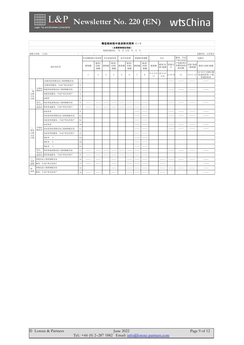

|                   | 增值税纳税申报表附列资料(一)                     |                   |                   |           |                  |        |                  |     |                  |        |                  |                           |              |                |                          |               |                                             |
|-------------------|-------------------------------------|-------------------|-------------------|-----------|------------------|--------|------------------|-----|------------------|--------|------------------|---------------------------|--------------|----------------|--------------------------|---------------|---------------------------------------------|
|                   | (本期销售情况明细)                          |                   |                   |           |                  |        |                  |     |                  |        |                  |                           |              |                |                          |               |                                             |
|                   | 税款所属时间: 年 月 日至 年 月 日<br>纳税人名称: (公章) |                   |                   |           |                  |        |                  |     |                  |        |                  |                           |              |                |                          |               |                                             |
|                   |                                     |                   |                   |           |                  |        |                  |     |                  |        |                  |                           |              |                |                          |               | 金额单位: 元至角分                                  |
| 项目及栏次             |                                     |                   |                   | 开具增值税专用发票 |                  | 开具其他发票 |                  |     | 未开具发票            |        | 纳税检查调整           | 合计                        |              | 服务、不动<br>产和无形资 | 扣除后                      |               |                                             |
|                   |                                     |                   |                   | 销售额       | 销项(<br>应纳)<br>税额 | 销售额    | 销项(<br>应纳)<br>税额 | 销售额 | 销项(<br>应纳)<br>税额 | 销售额    | 销项(<br>应纳)<br>税额 | 销售额                       | 销项(应<br>纳)税额 | 价税合<br>计       | 产扣除项目<br>本期实际扣<br>除金额    | 含税(免税<br>)销售额 | 销项(应纳)税额                                    |
|                   |                                     |                   |                   | -1        | 2                | 3      | $\overline{4}$   | 5   | 6                | $\tau$ | 8                | $9=1+3+5$ 10=2+4+<br>$+7$ | $6 + 8$      | $1 = 9 + 10$   | 12                       |               | 14=13÷(100%+税<br>13=11-12 率或征收率)×税<br>率或征收率 |
|                   |                                     | 13%税率的货物及加工修理修配劳务 | $\mathbf{1}$      |           |                  |        |                  |     |                  |        |                  |                           |              |                |                          |               |                                             |
|                   |                                     | 13%税率的服务、不动产和无形资产 | $\,2$             |           |                  |        |                  |     |                  |        |                  |                           |              |                |                          |               |                                             |
| $-\sqrt{ }$<br>一般 | 全部征<br>税项目                          | 9%税率的货物及加工修理修配劳务  | $\sqrt{3}$        |           |                  |        |                  |     |                  |        |                  |                           |              |                |                          |               |                                             |
| 计税<br>方法<br>计税    |                                     | 9%税率的服务、不动产和无形资产  | $\overline{4}$    |           |                  |        |                  |     |                  |        |                  |                           |              |                |                          |               |                                             |
|                   |                                     | 6%税率              | $\,$ 5            |           |                  |        |                  |     |                  |        |                  |                           |              |                |                          |               |                                             |
|                   | 其中:<br>即征即<br>退项目                   | 即征即退货物及加工修理修配劳务   | $\,6\,$           |           |                  |        |                  |     |                  |        |                  |                           |              |                |                          |               |                                             |
|                   |                                     | 即征即退服务、不动产和无形资产   | $\scriptstyle{7}$ |           |                  |        |                  |     |                  |        |                  |                           |              |                |                          |               |                                             |
|                   |                                     | 6%征收率             | $\,$ 8 $\,$       |           |                  |        |                  |     |                  |        |                  |                           |              |                |                          |               |                                             |
|                   |                                     | 5%征收率的货物及加工修理修配劳务 | 9a                |           |                  |        |                  |     |                  |        |                  |                           |              |                |                          | $-$           | $\frac{1}{2}$                               |
|                   |                                     | 5%征收率的服务、不动产和无形资产 | 9 <sub>b</sub>    |           |                  |        |                  |     |                  |        |                  |                           |              |                |                          |               |                                             |
|                   |                                     | 4%征收率             | 10                |           |                  |        |                  |     |                  |        |                  |                           |              |                |                          |               |                                             |
| Ξ,<br>简易          | 全部征<br>税项目                          | 3%征收率的货物及加工修理修配劳务 | 11                |           |                  |        |                  |     |                  |        |                  |                           |              |                |                          |               |                                             |
| 计税<br>方法          |                                     | 3%征收率的服务、不动产和无形资产 | 12                |           |                  |        |                  |     |                  |        |                  |                           |              |                |                          |               |                                             |
| 计税                |                                     | 预征率 %             | 13a               |           |                  |        |                  |     |                  |        |                  |                           |              |                |                          |               |                                             |
|                   |                                     | 预征率 %             | 13 <sub>b</sub>   |           |                  |        |                  |     |                  |        |                  |                           |              |                |                          |               |                                             |
|                   |                                     | 预征率 %             | 13 <sub>c</sub>   |           |                  |        |                  |     |                  |        |                  |                           |              |                |                          |               |                                             |
|                   | 其中:<br>即征即                          | 即征即退货物及加工修理修配劳务   | 14                |           |                  |        |                  |     |                  |        |                  |                           |              |                |                          |               |                                             |
|                   | 退项目                                 | 即征即退服务、不动产和无形资产   | 15                |           |                  |        |                  |     |                  |        |                  |                           |              |                |                          |               |                                             |
| Ξ.<br>免抵          |                                     | 货物及加工修理修配劳务       | 16                |           |                  |        |                  |     |                  |        |                  |                           |              |                |                          |               |                                             |
| 退税                |                                     | 服务、不动产和无形资产       | 17                |           |                  |        |                  |     |                  |        |                  |                           |              |                |                          |               |                                             |
| 四、                |                                     | 货物及加工修理修配劳务       | 18                |           |                  |        |                  |     |                  |        |                  |                           |              |                | $\overline{\phantom{a}}$ | $- -$         | ___                                         |
| 免税                |                                     | 服务、不动产和无形资产       | 19                |           |                  |        |                  |     |                  |        |                  |                           |              |                |                          |               |                                             |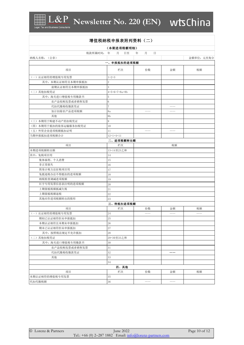

|                      | 增值税纳税申报表附列资料(二) |             |    |            |
|----------------------|-----------------|-------------|----|------------|
|                      | (本期进项税额明细)      |             |    |            |
| 税款所属时间: 年            | 日至<br>月         | 月<br>日<br>年 |    |            |
| 纳税人名称: (公章)          |                 |             |    | 金额单位: 元至角分 |
|                      | 一、申报抵扣的进项税额     |             |    |            |
| 项目                   | 栏次              | 份数          | 金额 | 税额         |
| (一)认证相符的增值税专用发票      | $1 = 2 + 3$     |             |    |            |
| 其中: 本期认证相符且本期申报抵扣    | $\overline{2}$  |             |    |            |
| 前期认证相符且本期申报抵扣        | 3               |             |    |            |
| (二) 其他扣税凭证           | $4=5+6+7+8a+8b$ |             |    |            |
| 其中: 海关进口增值税专用缴款书     | 5               |             |    |            |
| 农产品收购发票或者销售发票        | $6\phantom{1}6$ |             |    |            |
| 代扣代缴税收缴款凭证           | $\overline{7}$  |             |    |            |
| 加计扣除农产品进项税额          | 8a              |             |    |            |
| 其他                   | 8 <sub>b</sub>  |             |    |            |
| (三)本期用于购建不动产的扣税凭证    | 9               |             |    |            |
| (四)本期用于抵扣的旅客运输服务扣税凭证 | 10              |             |    |            |
| (五) 外贸企业进项税额抵扣证明     | 11              | $\qquad -$  |    |            |
| 当期申报抵扣进项税额合计         | $12=1+4+11$     |             |    |            |
|                      | 二、进项税额转出额       |             |    |            |
| 项目                   | 栏次              |             | 税额 |            |
| 本期进项税额转出额            | 13=14至23之和      |             |    |            |
| 其中: 免税项目用            | 14              |             |    |            |
| 集体福利、个人消费            | 15              |             |    |            |
| 非正常损失                | 16              |             |    |            |
| 简易计税方法征税项目用          | 17              |             |    |            |
| 免抵退税办法不得抵扣的进项税额      | 18              |             |    |            |
| 纳税检查调减进项税额           | 19              |             |    |            |
| 红字专用发票信息表注明的进项税额     | 20              |             |    |            |
| 上期留抵税额抵减欠税           | 21              |             |    |            |
| 上期留抵税额退税             | 22              |             |    |            |
| 其他应作进项税额转出的情形        | 23              |             |    |            |
|                      | 三、待抵扣进项税额       |             |    |            |
| 项目                   | 栏次              | 份数          | 金额 | 税额         |
| (一)认证相符的增值税专用发票      | 24              |             |    |            |
| 期初已认证相符但未申报抵扣        | 25              |             |    |            |
| 本期认证相符且本期未申报抵扣       | 26              |             |    |            |
| 期末已认证相符但未申报抵扣        | 27              |             |    |            |
| 其中: 按照税法规定不允许抵扣      | 28              |             |    |            |
| (二)其他扣税凭证            | 29=30至33之和      |             |    |            |
| 其中: 海关进口增值税专用缴款书     | 30              |             |    |            |
| 农产品收购发票或者销售发票        | 31              |             |    |            |
| 代扣代缴税收缴款凭证           | 32              |             |    |            |
| 其他                   | 33              |             |    |            |
|                      | 34              |             |    |            |
|                      | 四、其他            |             |    |            |
| 项目                   | 栏次              | 份数          | 金额 | 税额         |
| 本期认证相符的增值税专用发票       | 35              |             |    |            |

代扣代缴税额

3 6 —— ——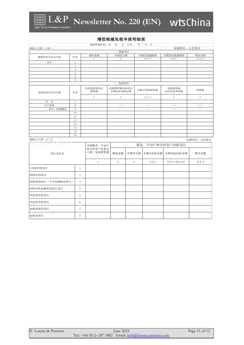

#### 增值税减免税申报明细表 税款所属时间:自 年 月 日至 年 月 日 金额单位:元至角分 纳税人名称(公章): 一、减税项目 期初余额 本期发生额 本期应抵减税额 本期实际抵减税额 期末余额 减税性质代码及名称 栏次 1  $2$   $3=1+2$   $4\leq 3$   $5=3-4$ 合计 1 2 3 4 5 6 二、免税项目 免征增值税项目 免税销售额扣除项目<br>本期实际扣除金额 本期实际扣除金额 扣除后免税销售额 免税销售额 **又税销售**额 → 免税额<br>对应的进项税额 → 免税额 销售额 免税性质代码及名称 栏次  $\frac{10}{7}$   $\frac{8}{10}$ <br> $\frac{9}{11}$  $\frac{7}{8}$ <br> $\frac{9}{10}$ <br> $\frac{11}{11}$ <br> $\frac{11}{12}$ 1  $2$   $3=1-2$   $4$   $5$ 合 计  $\begin{array}{r} 7 \\ 8 \\ \hline 9 \\ 10 \\ 11 \\ 12 \\ 13 \end{array}$ 7 出口免税  $\begin{array}{r} 8 \\ 9 \\ \hline 10 \\ 11 \\ 12 \\ 13 \\ 14 \\ \hline \end{array}$ 8 —— —— —— —— 其中: 跨境服务  $\frac{9}{10}$ <br> $\frac{11}{12}$ <br> $\frac{12}{13}$ <br> $\frac{14}{15}$ 9 —— —— —— ——  $\frac{10}{11}$   $\frac{12}{13}$   $\frac{14}{15}$   $\frac{16}{16}$  $10$  $\begin{array}{r} 11 \\ 12 \\ 13 \\ \hline 14 \\ 15 \\ \hline 16 \\ \hline \end{array}$  $11$  $12\,$ 13  $14\,$ 15 16 纳税人名称:(公章) 金额单位:元至角分服务、不动产和无形资产扣除项目 本期服务、不动产 和无形资产价税合 | 计额(免税销售额 期初余额 本期发生额 本期应扣除金额 本期实际扣除金额 期末余额 项目及栏次 ) 1 2 3 4=2+3  $5(5 \le 1 \le 5 \le 4)$  6=4-5 13%税率的项目 1 9%税率的项目 2 6%税率的项目(不含金融商品转让) 3 6%税率的金融商品转让项目 4 5%征收率的项目 **5** 5 3%征收率的项目 6 免抵退税的项目 7 免税的项目 8